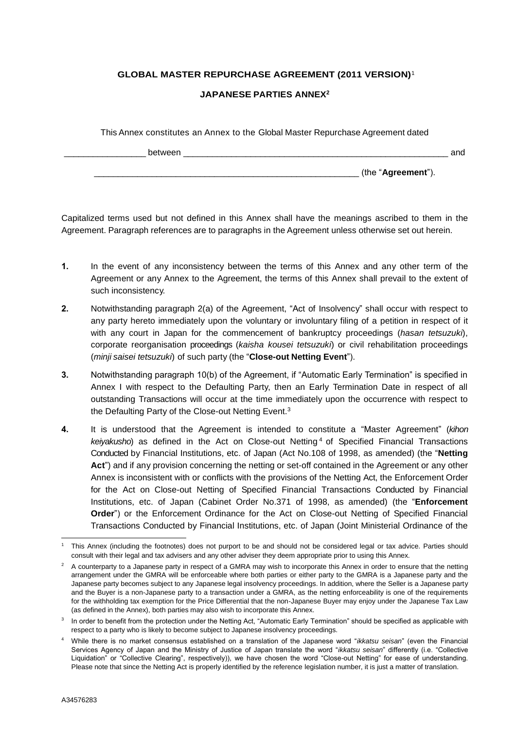## **GLOBAL MASTER REPURCHASE AGREEMENT (2011 VERSION)**<sup>1</sup>

## **JAPANESE PARTIES ANNEX<sup>2</sup>**

|  |         |  | This Annex constitutes an Annex to the Global Master Repurchase Agreement dated |     |
|--|---------|--|---------------------------------------------------------------------------------|-----|
|  | between |  |                                                                                 | anc |

\_\_\_\_\_\_\_\_\_\_\_\_\_\_\_\_\_\_\_\_\_\_\_\_\_\_\_\_\_\_\_\_\_\_\_\_\_\_\_\_\_\_\_\_\_\_\_\_\_\_\_\_\_\_\_ (the "**Agreement**").

Capitalized terms used but not defined in this Annex shall have the meanings ascribed to them in the Agreement. Paragraph references are to paragraphs in the Agreement unless otherwise set out herein.

- **1.** In the event of any inconsistency between the terms of this Annex and any other term of the Agreement or any Annex to the Agreement, the terms of this Annex shall prevail to the extent of such inconsistency.
- **2.** Notwithstanding paragraph 2(a) of the Agreement, "Act of Insolvency" shall occur with respect to any party hereto immediately upon the voluntary or involuntary filing of a petition in respect of it with any court in Japan for the commencement of bankruptcy proceedings (*hasan tetsuzuki*), corporate reorganisation proceedings (*kaisha kousei tetsuzuki*) or civil rehabilitation proceedings (*minji saisei tetsuzuki*) of such party (the "**Close-out Netting Event**").
- **3.** Notwithstanding paragraph 10(b) of the Agreement, if "Automatic Early Termination" is specified in Annex I with respect to the Defaulting Party, then an Early Termination Date in respect of all outstanding Transactions will occur at the time immediately upon the occurrence with respect to the Defaulting Party of the Close-out Netting Event. 3
- **4.** It is understood that the Agreement is intended to constitute a "Master Agreement" (*kihon keiyakusho*) as defined in the Act on Close-out Netting <sup>4</sup> of Specified Financial Transactions Conducted by Financial Institutions, etc. of Japan (Act No.108 of 1998, as amended) (the "**Netting** Act") and if any provision concerning the netting or set-off contained in the Agreement or any other Annex is inconsistent with or conflicts with the provisions of the Netting Act, the Enforcement Order for the Act on Close-out Netting of Specified Financial Transactions Conducted by Financial Institutions, etc. of Japan (Cabinet Order No.371 of 1998, as amended) (the "**Enforcement Order**") or the Enforcement Ordinance for the Act on Close-out Netting of Specified Financial Transactions Conducted by Financial Institutions, etc. of Japan (Joint Ministerial Ordinance of the

l <sup>1</sup> This Annex (including the footnotes) does not purport to be and should not be considered legal or tax advice. Parties should consult with their legal and tax advisers and any other adviser they deem appropriate prior to using this Annex.

<sup>&</sup>lt;sup>2</sup> A counterparty to a Japanese party in respect of a GMRA may wish to incorporate this Annex in order to ensure that the netting arrangement under the GMRA will be enforceable where both parties or either party to the GMRA is a Japanese party and the Japanese party becomes subject to any Japanese legal insolvency proceedings. In addition, where the Seller is a Japanese party and the Buyer is a non-Japanese party to a transaction under a GMRA, as the netting enforceability is one of the requirements for the withholding tax exemption for the Price Differential that the non-Japanese Buyer may enjoy under the Japanese Tax Law (as defined in the Annex), both parties may also wish to incorporate this Annex.

 $3$  In order to benefit from the protection under the Netting Act, "Automatic Early Termination" should be specified as applicable with respect to a party who is likely to become subject to Japanese insolvency proceedings.

<sup>4</sup> While there is no market consensus established on a translation of the Japanese word "*ikkatsu seisan*" (even the Financial Services Agency of Japan and the Ministry of Justice of Japan translate the word "*ikkatsu seisan*" differently (i.e. "Collective Liquidation" or "Collective Clearing", respectively)), we have chosen the word "Close-out Netting" for ease of understanding. Please note that since the Netting Act is properly identified by the reference legislation number, it is just a matter of translation.